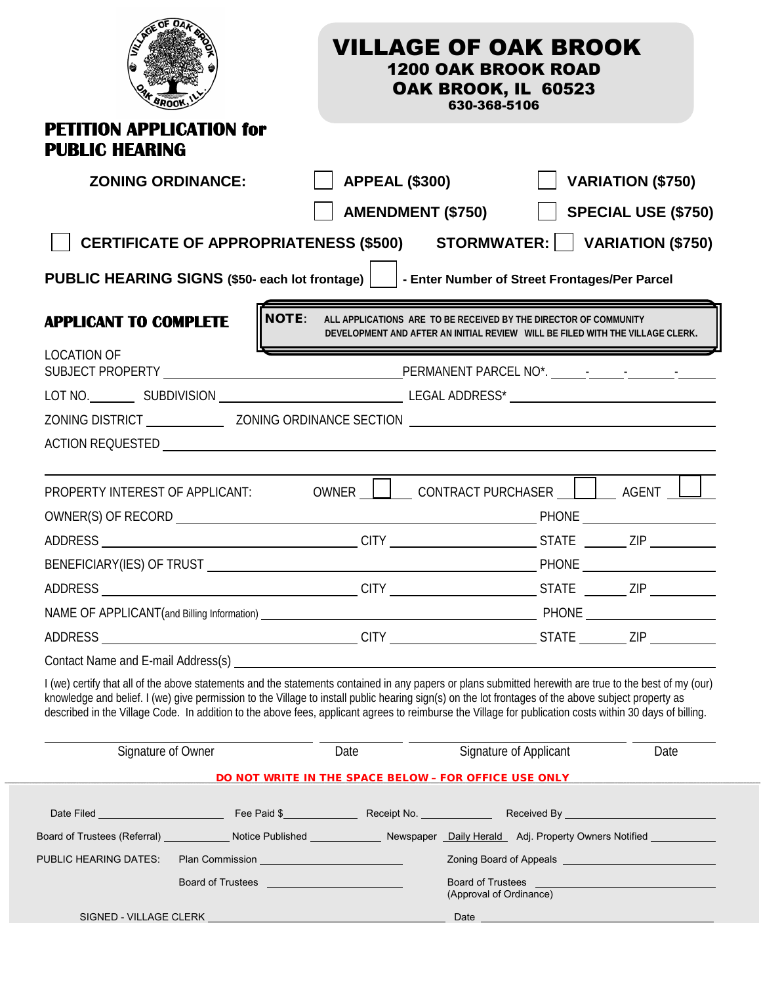|                                                                                                                                                                                                                                                                                                                                                                                                                                                                            |                   | <b>VILLAGE OF OAK BROOK</b>                                                                                                                       | <b>1200 OAK BROOK ROAD</b><br>OAK BROOK, IL 60523<br>630-368-5106 |              |                                                              |
|----------------------------------------------------------------------------------------------------------------------------------------------------------------------------------------------------------------------------------------------------------------------------------------------------------------------------------------------------------------------------------------------------------------------------------------------------------------------------|-------------------|---------------------------------------------------------------------------------------------------------------------------------------------------|-------------------------------------------------------------------|--------------|--------------------------------------------------------------|
| <b>PETITION APPLICATION for</b><br><b>PUBLIC HEARING</b>                                                                                                                                                                                                                                                                                                                                                                                                                   |                   |                                                                                                                                                   |                                                                   |              |                                                              |
| <b>ZONING ORDINANCE:</b>                                                                                                                                                                                                                                                                                                                                                                                                                                                   |                   | <b>APPEAL (\$300)</b>                                                                                                                             |                                                                   |              | <b>VARIATION (\$750)</b>                                     |
|                                                                                                                                                                                                                                                                                                                                                                                                                                                                            |                   | <b>AMENDMENT (\$750)</b>                                                                                                                          |                                                                   |              | SPECIAL USE (\$750)                                          |
| CERTIFICATE OF APPROPRIATENESS (\$500) STORMWATER:     VARIATION (\$750)                                                                                                                                                                                                                                                                                                                                                                                                   |                   |                                                                                                                                                   |                                                                   |              |                                                              |
| PUBLIC HEARING SIGNS (\$50- each lot frontage)     - Enter Number of Street Frontages/Per Parcel                                                                                                                                                                                                                                                                                                                                                                           |                   |                                                                                                                                                   |                                                                   |              |                                                              |
| <b>APPLICANT TO COMPLETE</b>                                                                                                                                                                                                                                                                                                                                                                                                                                               | <b>NOTE:</b>      | ALL APPLICATIONS ARE TO BE RECEIVED BY THE DIRECTOR OF COMMUNITY<br>DEVELOPMENT AND AFTER AN INITIAL REVIEW WILL BE FILED WITH THE VILLAGE CLERK. |                                                                   |              |                                                              |
| <b>LOCATION OF</b>                                                                                                                                                                                                                                                                                                                                                                                                                                                         |                   |                                                                                                                                                   |                                                                   |              |                                                              |
|                                                                                                                                                                                                                                                                                                                                                                                                                                                                            |                   |                                                                                                                                                   |                                                                   |              |                                                              |
| ZONING DISTRICT ZONING ORDINANCE SECTION                                                                                                                                                                                                                                                                                                                                                                                                                                   |                   |                                                                                                                                                   |                                                                   |              |                                                              |
|                                                                                                                                                                                                                                                                                                                                                                                                                                                                            |                   |                                                                                                                                                   |                                                                   |              |                                                              |
| PROPERTY INTEREST OF APPLICANT:                                                                                                                                                                                                                                                                                                                                                                                                                                            |                   | OWNER   CONTRACT PURCHASER     AGENT                                                                                                              |                                                                   |              |                                                              |
|                                                                                                                                                                                                                                                                                                                                                                                                                                                                            |                   |                                                                                                                                                   |                                                                   |              |                                                              |
| BENEFICIARY(IES) OF TRUST                                                                                                                                                                                                                                                                                                                                                                                                                                                  |                   |                                                                                                                                                   |                                                                   | <b>PHONE</b> |                                                              |
|                                                                                                                                                                                                                                                                                                                                                                                                                                                                            |                   |                                                                                                                                                   |                                                                   |              |                                                              |
|                                                                                                                                                                                                                                                                                                                                                                                                                                                                            |                   |                                                                                                                                                   |                                                                   |              |                                                              |
|                                                                                                                                                                                                                                                                                                                                                                                                                                                                            |                   |                                                                                                                                                   |                                                                   |              |                                                              |
|                                                                                                                                                                                                                                                                                                                                                                                                                                                                            |                   |                                                                                                                                                   |                                                                   |              |                                                              |
| I (we) certify that all of the above statements and the statements contained in any papers or plans submitted herewith are true to the best of my (our)<br>knowledge and belief. I (we) give permission to the Village to install public hearing sign(s) on the lot frontages of the above subject property as<br>described in the Village Code. In addition to the above fees, applicant agrees to reimburse the Village for publication costs within 30 days of billing. |                   |                                                                                                                                                   |                                                                   |              |                                                              |
| Signature of Owner                                                                                                                                                                                                                                                                                                                                                                                                                                                         |                   | Date                                                                                                                                              | Signature of Applicant                                            |              | Date                                                         |
|                                                                                                                                                                                                                                                                                                                                                                                                                                                                            |                   | DO NOT WRITE IN THE SPACE BELOW - FOR OFFICE USE ONLY                                                                                             |                                                                   |              |                                                              |
|                                                                                                                                                                                                                                                                                                                                                                                                                                                                            |                   |                                                                                                                                                   |                                                                   |              |                                                              |
| Board of Trustees (Referral) _____________ Notice Published ______________ Newspaper _Daily Herald _ Adj. Property Owners Notified ___________                                                                                                                                                                                                                                                                                                                             |                   |                                                                                                                                                   |                                                                   |              |                                                              |
| PUBLIC HEARING DATES:                                                                                                                                                                                                                                                                                                                                                                                                                                                      |                   |                                                                                                                                                   |                                                                   |              | Zoning Board of Appeals <b>Constanting Construction</b>      |
|                                                                                                                                                                                                                                                                                                                                                                                                                                                                            | Board of Trustees |                                                                                                                                                   | (Approval of Ordinance)                                           |              | Board of Trustees <b>contained</b> and the Board of Trustees |
|                                                                                                                                                                                                                                                                                                                                                                                                                                                                            |                   |                                                                                                                                                   |                                                                   |              |                                                              |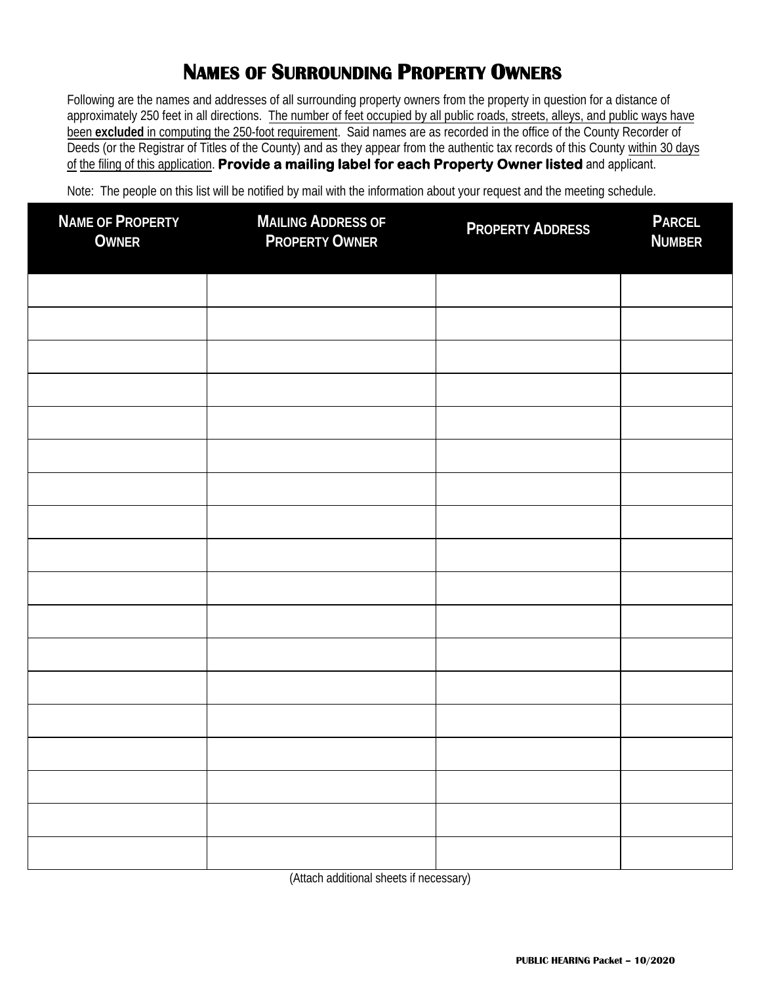# **NAMES OF SURROUNDING PROPERTY OWNERS**

Following are the names and addresses of all surrounding property owners from the property in question for a distance of approximately 250 feet in all directions. The number of feet occupied by all public roads, streets, alleys, and public ways have been **excluded** in computing the 250-foot requirement. Said names are as recorded in the office of the County Recorder of Deeds (or the Registrar of Titles of the County) and as they appear from the authentic tax records of this County within 30 days of the filing of this application. **Provide a mailing label for each Property Owner listed** and applicant.

Note: The people on this list will be notified by mail with the information about your request and the meeting schedule.

| <b>NAME OF PROPERTY</b><br><b>OWNER</b> | <b>MAILING ADDRESS OF</b><br><b>PROPERTY OWNER</b> | <b>PROPERTY ADDRESS</b> | <b>PARCEL</b><br><b>NUMBER</b> |
|-----------------------------------------|----------------------------------------------------|-------------------------|--------------------------------|
|                                         |                                                    |                         |                                |
|                                         |                                                    |                         |                                |
|                                         |                                                    |                         |                                |
|                                         |                                                    |                         |                                |
|                                         |                                                    |                         |                                |
|                                         |                                                    |                         |                                |
|                                         |                                                    |                         |                                |
|                                         |                                                    |                         |                                |
|                                         |                                                    |                         |                                |
|                                         |                                                    |                         |                                |
|                                         |                                                    |                         |                                |
|                                         |                                                    |                         |                                |
|                                         |                                                    |                         |                                |
|                                         |                                                    |                         |                                |
|                                         |                                                    |                         |                                |
|                                         |                                                    |                         |                                |
|                                         |                                                    |                         |                                |
|                                         |                                                    |                         |                                |

(Attach additional sheets if necessary)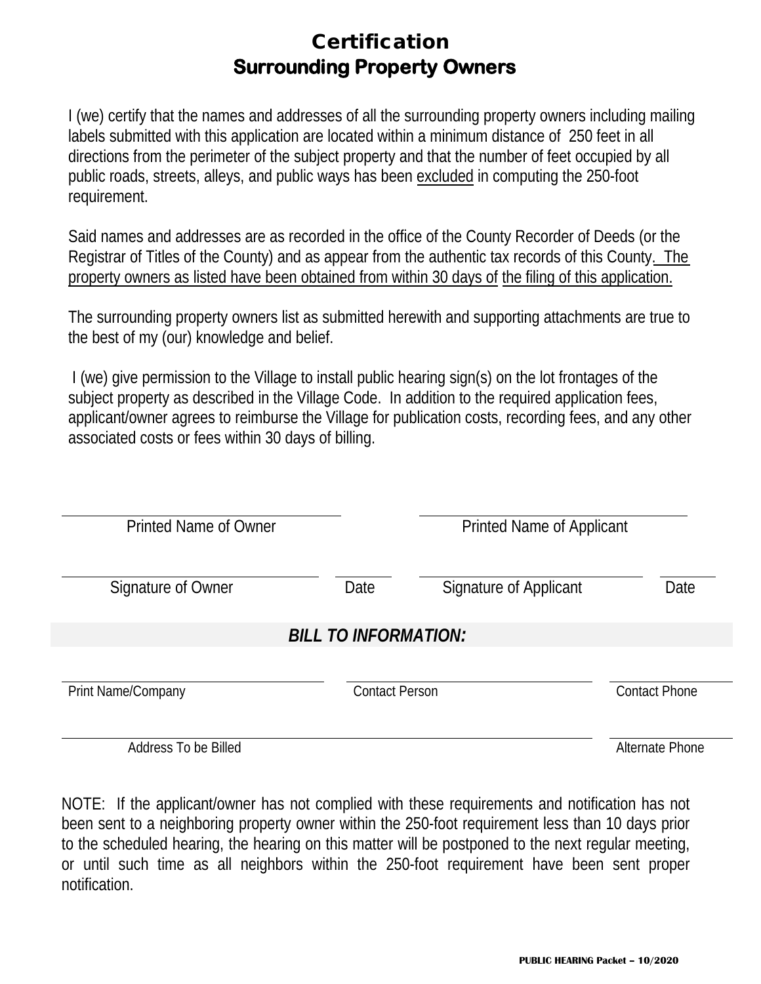# Certification **Surrounding Property Owners**

I (we) certify that the names and addresses of all the surrounding property owners including mailing labels submitted with this application are located within a minimum distance of 250 feet in all directions from the perimeter of the subject property and that the number of feet occupied by all public roads, streets, alleys, and public ways has been excluded in computing the 250-foot requirement.

Said names and addresses are as recorded in the office of the County Recorder of Deeds (or the Registrar of Titles of the County) and as appear from the authentic tax records of this County. The property owners as listed have been obtained from within 30 days of the filing of this application.

The surrounding property owners list as submitted herewith and supporting attachments are true to the best of my (our) knowledge and belief.

I (we) give permission to the Village to install public hearing sign(s) on the lot frontages of the subject property as described in the Village Code. In addition to the required application fees, applicant/owner agrees to reimburse the Village for publication costs, recording fees, and any other associated costs or fees within 30 days of billing.

| Printed Name of Owner |                             | <b>Printed Name of Applicant</b> |                      |
|-----------------------|-----------------------------|----------------------------------|----------------------|
| Signature of Owner    | Date                        | Signature of Applicant           | Date                 |
|                       | <b>BILL TO INFORMATION:</b> |                                  |                      |
| Print Name/Company    | <b>Contact Person</b>       |                                  | <b>Contact Phone</b> |

Address To be Billed Alternate Phone

NOTE: If the applicant/owner has not complied with these requirements and notification has not been sent to a neighboring property owner within the 250-foot requirement less than 10 days prior to the scheduled hearing, the hearing on this matter will be postponed to the next regular meeting, or until such time as all neighbors within the 250-foot requirement have been sent proper notification.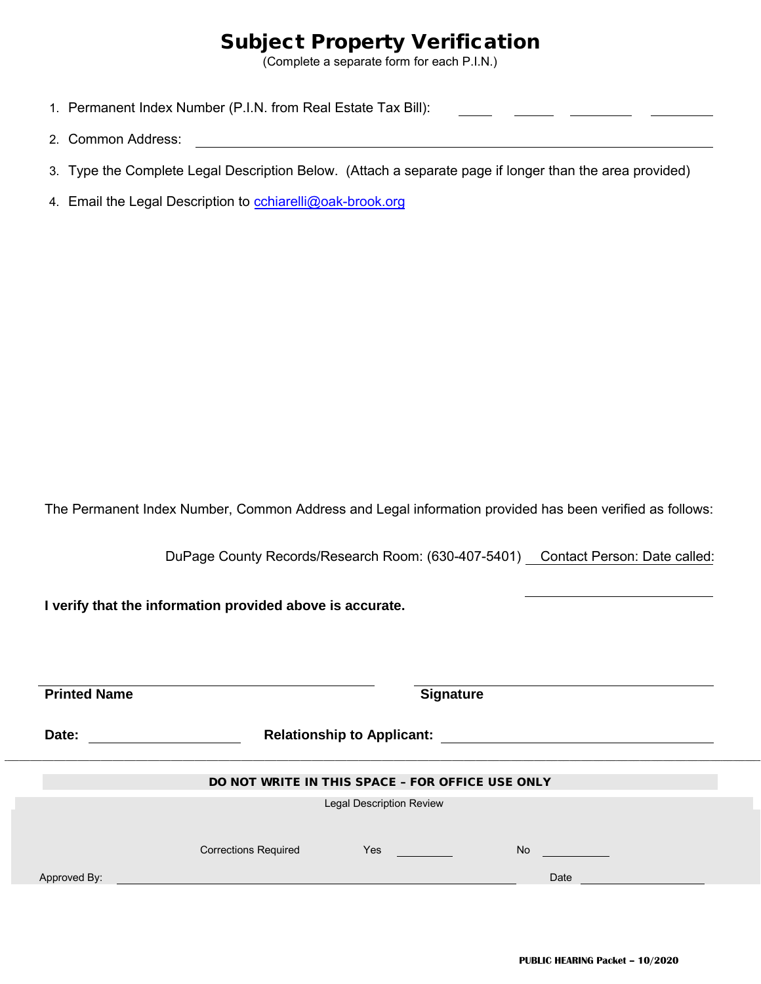# Subject Property Verification

(Complete a separate form for each P.I.N.)

- 1. Permanent Index Number (P.I.N. from Real Estate Tax Bill):
- 2. Common Address:
- 3. Type the Complete Legal Description Below. (Attach a separate page if longer than the area provided)
- 4. Email the Legal Description to cchiarelli@oak-brook.org

The Permanent Index Number, Common Address and Legal information provided has been verified as follows:

DuPage County Records/Research Room: (630-407-5401) Contact Person: Date called:

**I verify that the information provided above is accurate.**

| <b>Printed Name</b> | <b>Signature</b>            |                                                  |           |  |
|---------------------|-----------------------------|--------------------------------------------------|-----------|--|
| Date:               |                             | <b>Relationship to Applicant:</b>                |           |  |
|                     |                             | DO NOT WRITE IN THIS SPACE - FOR OFFICE USE ONLY |           |  |
|                     |                             | <b>Legal Description Review</b>                  |           |  |
|                     | <b>Corrections Required</b> | <b>Yes</b>                                       | <b>No</b> |  |
| Approved By:        |                             |                                                  | Date      |  |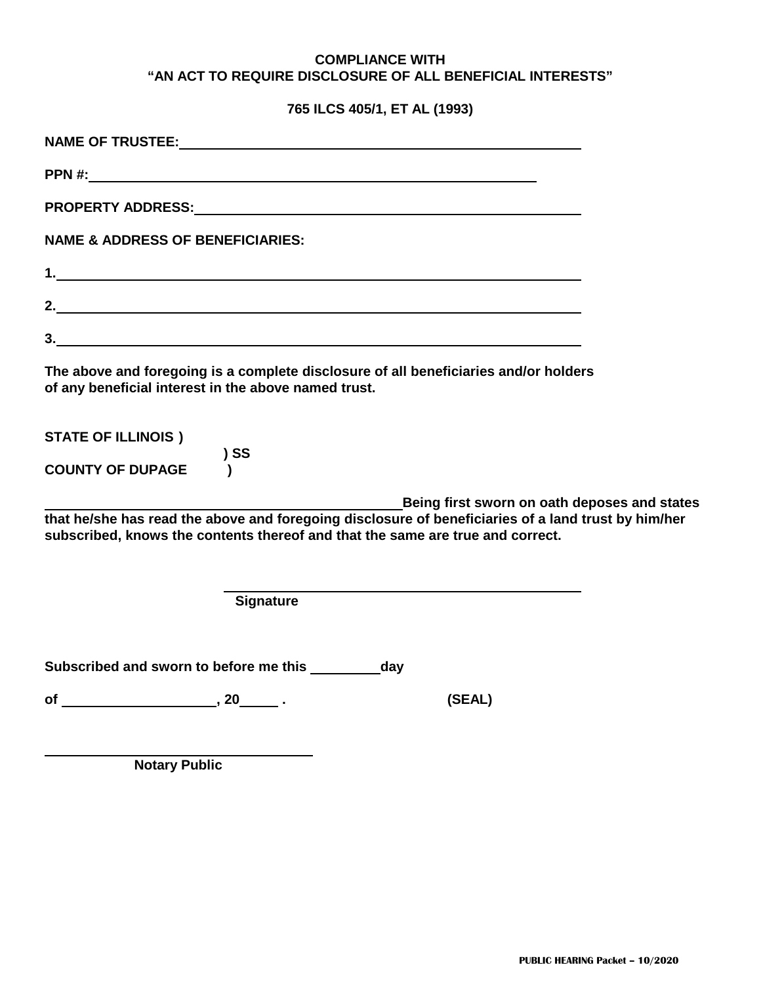#### **COMPLIANCE WITH "AN ACT TO REQUIRE DISCLOSURE OF ALL BENEFICIAL INTERESTS"**

**765 ILCS 405/1, ET AL (1993)**

| PPN #:                                                                                                                                                                                |  |
|---------------------------------------------------------------------------------------------------------------------------------------------------------------------------------------|--|
|                                                                                                                                                                                       |  |
| <b>NAME &amp; ADDRESS OF BENEFICIARIES:</b>                                                                                                                                           |  |
|                                                                                                                                                                                       |  |
|                                                                                                                                                                                       |  |
| 3.                                                                                                                                                                                    |  |
| The above and foregoing is a complete disclosure of all beneficiaries and/or holders<br>of any beneficial interest in the above named trust.                                          |  |
| <b>STATE OF ILLINOIS)</b><br>$)$ SS<br><b>COUNTY OF DUPAGE</b>                                                                                                                        |  |
| Being first sworn on oath deposes and states                                                                                                                                          |  |
| that he/she has read the above and foregoing disclosure of beneficiaries of a land trust by him/her<br>subscribed, knows the contents thereof and that the same are true and correct. |  |
| <b>Signature</b>                                                                                                                                                                      |  |
| Subscribed and sworn to before me this __________day                                                                                                                                  |  |
| of $\overline{\phantom{a}}$ , 20 $\overline{\phantom{a}}$ .<br>(SEAL)                                                                                                                 |  |

**Notary Public**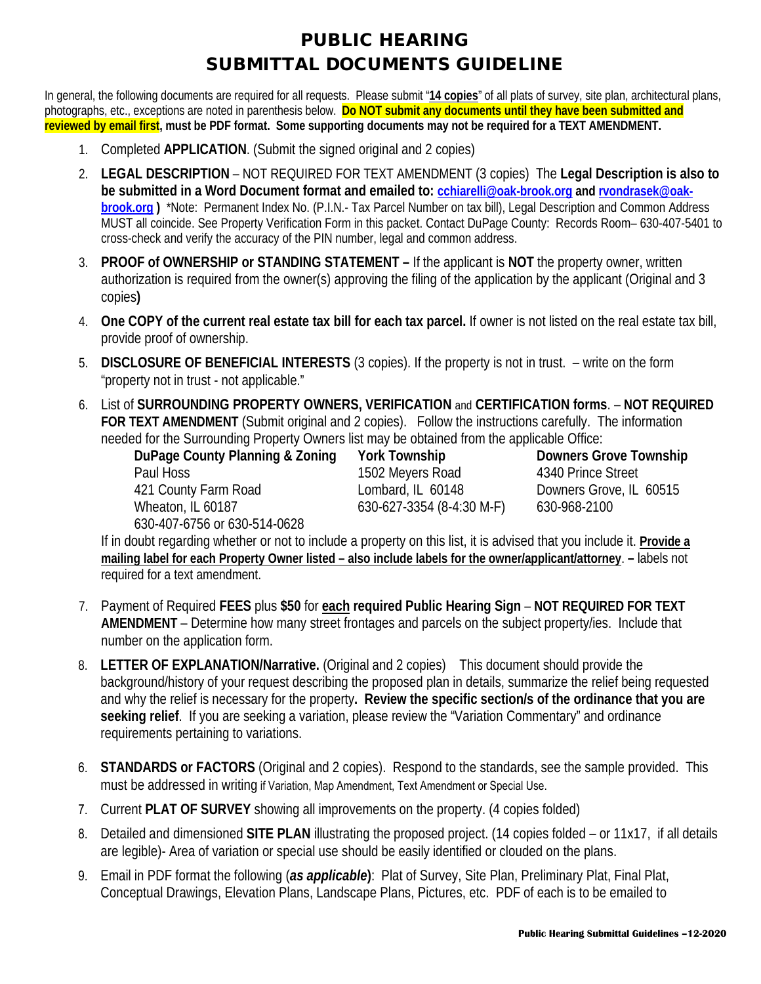## PUBLIC HEARING SUBMITTAL DOCUMENTS GUIDELINE

In general, the following documents are required for all requests. Please submit "**14 copies**" of all plats of survey, site plan, architectural plans, photographs, etc., exceptions are noted in parenthesis below. **Do NOT submit any documents until they have been submitted and reviewed by email first, must be PDF format. Some supporting documents may not be required for a TEXT AMENDMENT.**

- 1. Completed **APPLICATION**. (Submit the signed original and 2 copies)
- 2. **LEGAL DESCRIPTION** NOT REQUIRED FOR TEXT AMENDMENT (3 copies) The **Legal Description is also to be submitted in a Word Document format and emailed to: [cchiarelli@oak-brook.org](mailto:cchiarelli@oak-brook.org) an[d rvondrasek@oak](mailto:rvondrasek@oak-brook.org)[brook.org](mailto:rvondrasek@oak-brook.org) )** \*Note: Permanent Index No. (P.I.N.- Tax Parcel Number on tax bill), Legal Description and Common Address MUST all coincide. See Property Verification Form in this packet. Contact DuPage County: Records Room– 630-407-5401 to cross-check and verify the accuracy of the PIN number, legal and common address.
- 3. **PROOF of OWNERSHIP or STANDING STATEMENT** If the applicant is **NOT** the property owner, written authorization is required from the owner(s) approving the filing of the application by the applicant (Original and 3 copies**)**
- 4. **One COPY of the current real estate tax bill for each tax parcel.** If owner is not listed on the real estate tax bill, provide proof of ownership.
- 5. **DISCLOSURE OF BENEFICIAL INTERESTS** (3 copies). If the property is not in trust. write on the form "property not in trust - not applicable."
- 6. List of **SURROUNDING PROPERTY OWNERS, VERIFICATION** and **CERTIFICATION forms**. **NOT REQUIRED FOR TEXT AMENDMENT** (Submit original and 2 copies). Follow the instructions carefully. The information needed for the Surrounding Property Owners list may be obtained from the applicable Office:

**DuPage County Planning & Zoning York Township Downers Grove Township**  421 County Farm Road Lombard, IL 60148 Downers Grove, IL 60515 Wheaton, IL 60187 630-627-3354 (8-4:30 M-F) 630-968-2100 630-407-6756 or 630-514-0628

1502 Meyers Road 4340 Prince Street

If in doubt regarding whether or not to include a property on this list, it is advised that you include it. **Provide a mailing label for each Property Owner listed – also include labels for the owner/applicant/attorney**. **–** labels not required for a text amendment.

- 7. Payment of Required **FEES** plus **\$50** for **each required Public Hearing Sign NOT REQUIRED FOR TEXT AMENDMENT** – Determine how many street frontages and parcels on the subject property/ies. Include that number on the application form.
- 8. **LETTER OF EXPLANATION/Narrative.** (Original and 2 copies) This document should provide the background/history of your request describing the proposed plan in details, summarize the relief being requested and why the relief is necessary for the property**. Review the specific section/s of the ordinance that you are seeking relief**. If you are seeking a variation, please review the "Variation Commentary" and ordinance requirements pertaining to variations.
- 6. **STANDARDS or FACTORS** (Original and 2 copies). Respond to the standards, see the sample provided. This must be addressed in writing if Variation, Map Amendment, Text Amendment or Special Use.
- 7. Current **PLAT OF SURVEY** showing all improvements on the property. (4 copies folded)
- 8. Detailed and dimensioned **SITE PLAN** illustrating the proposed project. (14 copies folded or 11x17, if all details are legible)- Area of variation or special use should be easily identified or clouded on the plans.
- 9. Email in PDF format the following (*as applicable***)**: Plat of Survey, Site Plan, Preliminary Plat, Final Plat, Conceptual Drawings, Elevation Plans, Landscape Plans, Pictures, etc. PDF of each is to be emailed to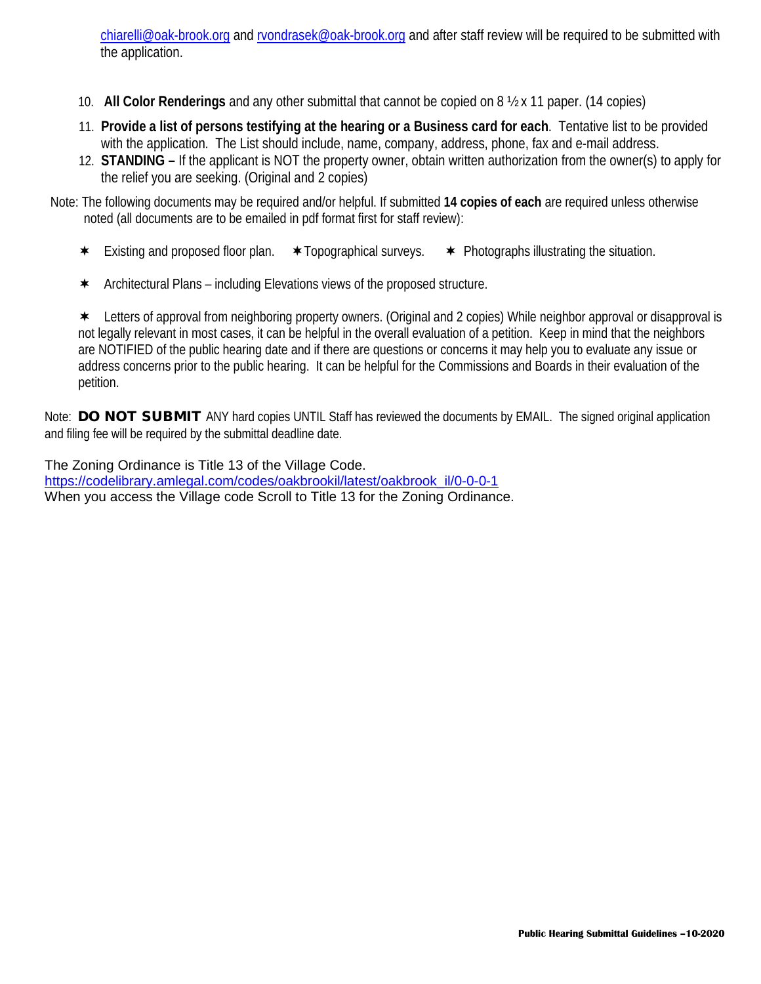[chiarelli@oak-brook.org](mailto:chiarelli@oak-brook.org) and [rvondrasek@oak-brook.org](mailto:rvondrasek@oak-brook.org) and after staff review will be required to be submitted with the application.

- 10. **All Color Renderings** and any other submittal that cannot be copied on 8 ½ x 11 paper. (14 copies)
- 11. **Provide a list of persons testifying at the hearing or a Business card for each**. Tentative list to be provided with the application. The List should include, name, company, address, phone, fax and e-mail address.
- 12. **STANDING** If the applicant is NOT the property owner, obtain written authorization from the owner(s) to apply for the relief you are seeking. (Original and 2 copies)
- Note: The following documents may be required and/or helpful. If submitted **14 copies of each** are required unless otherwise noted (all documents are to be emailed in pdf format first for staff review):
	- $\star$  Existing and proposed floor plan.  $\star$  Topographical surveys.  $\star$  Photographs illustrating the situation.
	- $\star$  Architectural Plans including Elevations views of the proposed structure.

 Letters of approval from neighboring property owners. (Original and 2 copies) While neighbor approval or disapproval is not legally relevant in most cases, it can be helpful in the overall evaluation of a petition. Keep in mind that the neighbors are NOTIFIED of the public hearing date and if there are questions or concerns it may help you to evaluate any issue or address concerns prior to the public hearing. It can be helpful for the Commissions and Boards in their evaluation of the petition.

Note: DO NOT SUBMIT ANY hard copies UNTIL Staff has reviewed the documents by EMAIL. The signed original application and filing fee will be required by the submittal deadline date.

The Zoning Ordinance is Title 13 of the Village Code.

[https://codelibrary.amlegal.com/codes/oakbrookil/latest/oakbrook\\_il/0-0-0-1](https://codelibrary.amlegal.com/codes/oakbrookil/latest/oakbrook_il/0-0-0-1) When you access the Village code Scroll to Title 13 for the Zoning Ordinance.